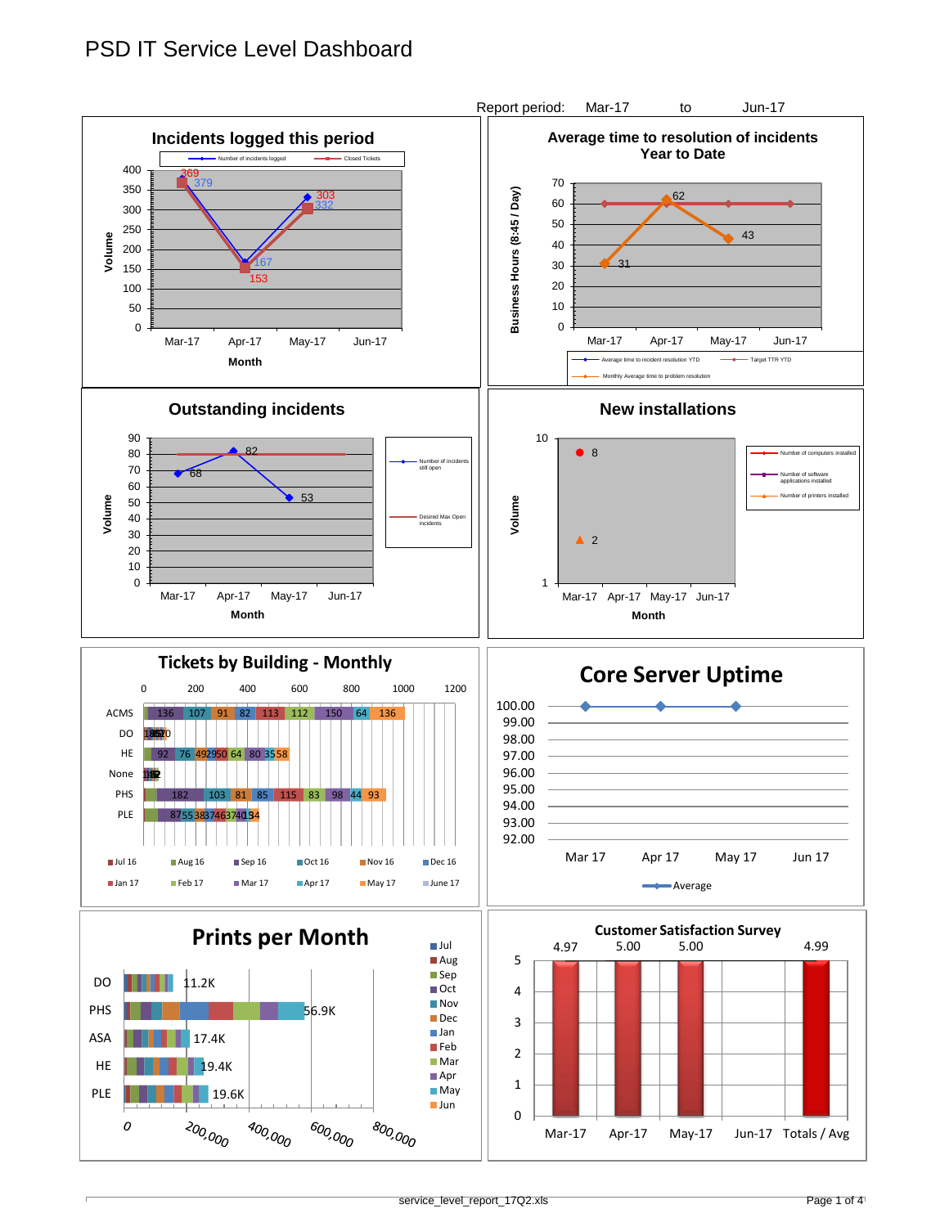## PSD IT Service Level Dashboard

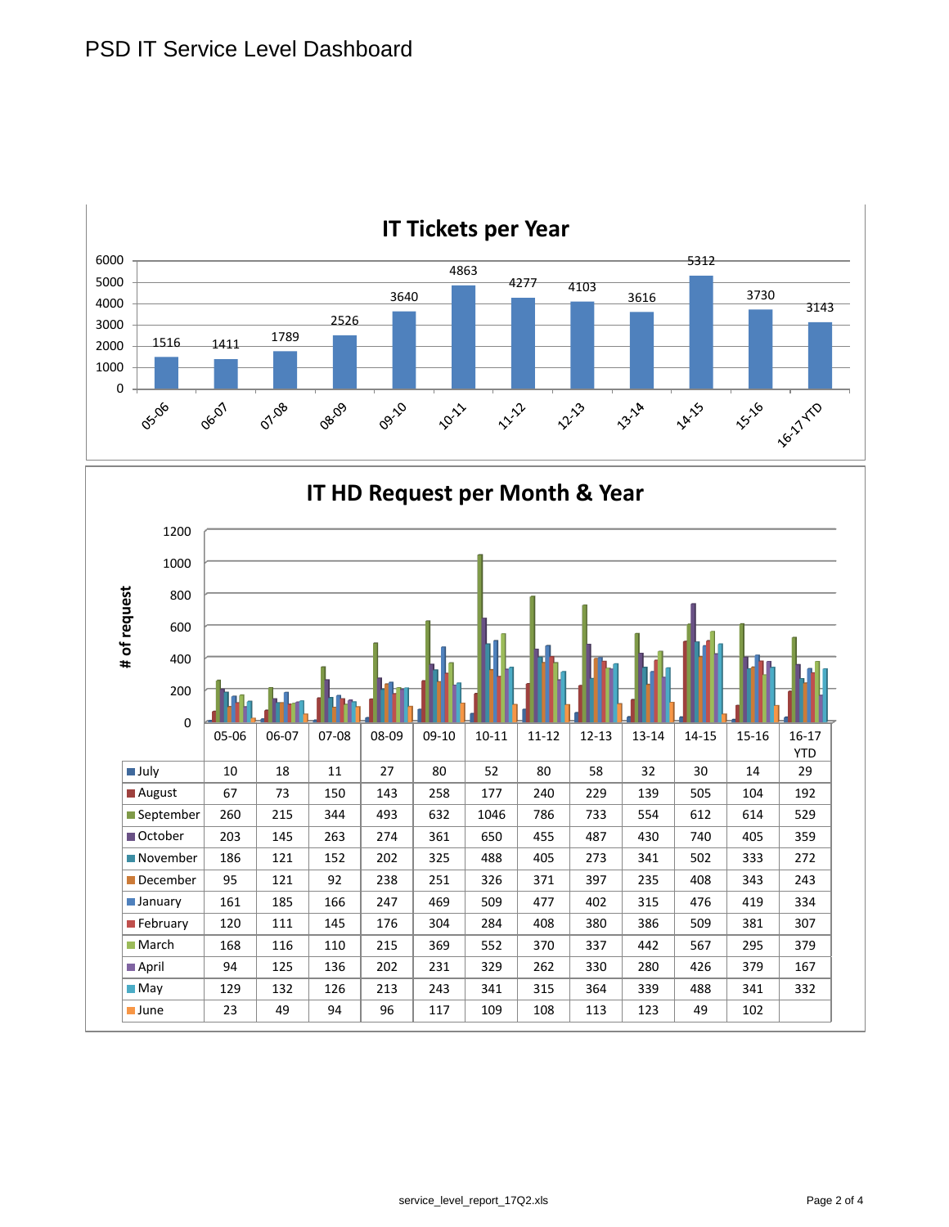

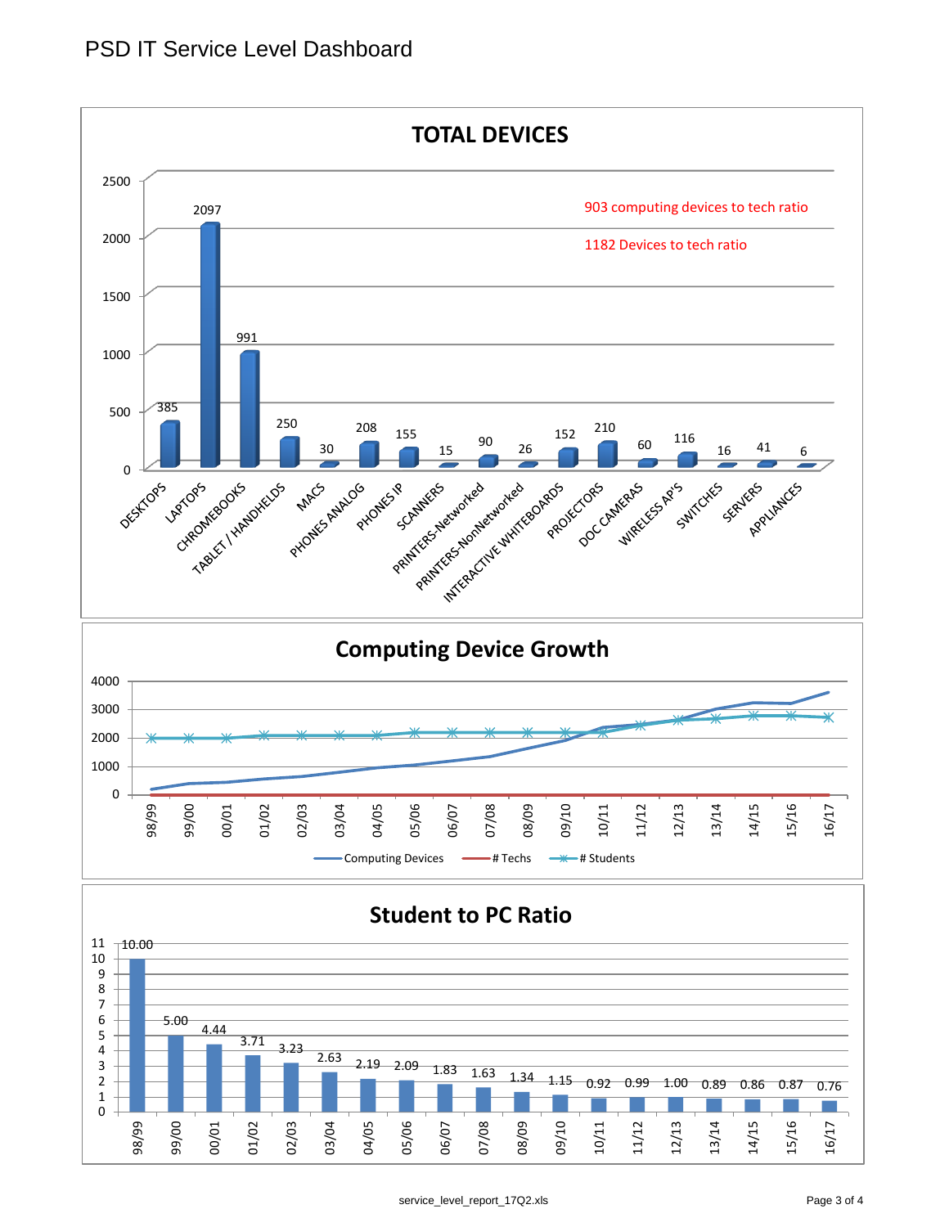